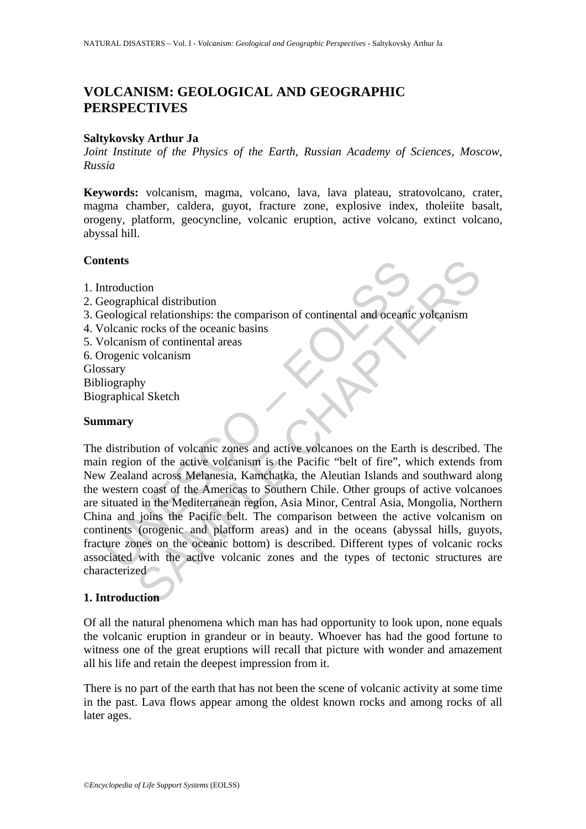# **VOLCANISM: GEOLOGICAL AND GEOGRAPHIC PERSPECTIVES**

### **Saltykovsky Arthur Ja**

*Joint Institute of the Physics of the Earth, Russian Academy of Sciences, Moscow, Russia*

**Keywords:** volcanism, magma, volcano, lava, lava plateau, stratovolcano, crater, magma chamber, caldera, guyot, fracture zone, explosive index, tholeiite basalt, orogeny, platform, geocyncline, volcanic eruption, active volcano, extinct volcano, abyssal hill.

## **Contents**

- 1. Introduction
- 2. Geographical distribution
- 3. Geological relationships: the comparison of continental and oceanic volcanism
- 4. Volcanic rocks of the oceanic basins
- 5. Volcanism of continental areas
- 6. Orogenic volcanism

Glossary

Bibliography

Biographical Sketch

### **Summary**

ntroduction<br>
itents<br>
itendicioned internal distribution<br>
iteological relationships: the comparison of continental and oceanic<br>
olcanic rocks of the oceanic basins<br>
iolcanism of continental areas<br>
saary<br>
iteoration<br>
is saar tion<br>
tion<br>
tion<br>
tional relationships: the comparison of continental and oceanic voletanism<br>
and of continental areas<br>
trocks of the oceanic basins<br>
the conditions<br>
the voletanism<br>
thy<br>
al Sketch<br>
the active voletanism<br>
t The distribution of volcanic zones and active volcanoes on the Earth is described. The main region of the active volcanism is the Pacific "belt of fire", which extends from New Zealand across Melanesia, Kamchatka, the Aleutian Islands and southward along the western coast of the Americas to Southern Chile. Other groups of active volcanoes are situated in the Mediterranean region, Asia Minor, Central Asia, Mongolia, Northern China and joins the Pacific belt. The comparison between the active volcanism on continents (orogenic and platform areas) and in the oceans (abyssal hills, guyots, fracture zones on the oceanic bottom) is described. Different types of volcanic rocks associated with the active volcanic zones and the types of tectonic structures are characterized

## **1. Introduction**

Of all the natural phenomena which man has had opportunity to look upon, none equals the volcanic eruption in grandeur or in beauty. Whoever has had the good fortune to witness one of the great eruptions will recall that picture with wonder and amazement all his life and retain the deepest impression from it.

There is no part of the earth that has not been the scene of volcanic activity at some time in the past. Lava flows appear among the oldest known rocks and among rocks of all later ages.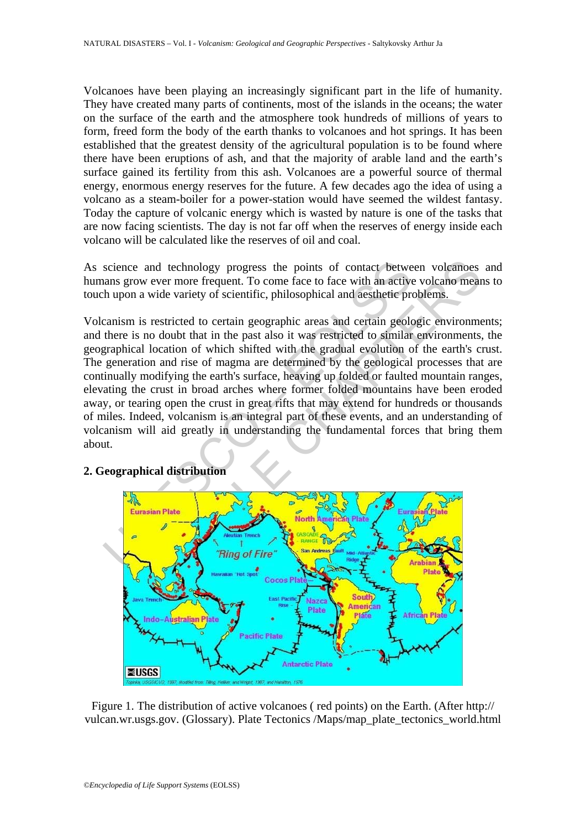Volcanoes have been playing an increasingly significant part in the life of humanity. They have created many parts of continents, most of the islands in the oceans; the water on the surface of the earth and the atmosphere took hundreds of millions of years to form, freed form the body of the earth thanks to volcanoes and hot springs. It has been established that the greatest density of the agricultural population is to be found where there have been eruptions of ash, and that the majority of arable land and the earth's surface gained its fertility from this ash. Volcanoes are a powerful source of thermal energy, enormous energy reserves for the future. A few decades ago the idea of using a volcano as a steam-boiler for a power-station would have seemed the wildest fantasy. Today the capture of volcanic energy which is wasted by nature is one of the tasks that are now facing scientists. The day is not far off when the reserves of energy inside each volcano will be calculated like the reserves of oil and coal.

As science and technology progress the points of contact between volcanoes and humans grow ever more frequent. To come face to face with an active volcano means to touch upon a wide variety of scientific, philosophical and aesthetic problems.

science and technology progress the points of contact between<br>the sams grow ever more frequent. To come face to face with an active<br>the upon a wide variety of scientific, philosophical and aesthetic pro-<br>canism is restrict Experience of the particular of the second tells of the particular tells and the particular tells of the particular tells and the particular tells of the particular of the particular of the particular of the particular of Volcanism is restricted to certain geographic areas and certain geologic environments; and there is no doubt that in the past also it was restricted to similar environments, the geographical location of which shifted with the gradual evolution of the earth's crust. The generation and rise of magma are determined by the geological processes that are continually modifying the earth's surface, heaving up folded or faulted mountain ranges, elevating the crust in broad arches where former folded mountains have been eroded away, or tearing open the crust in great rifts that may extend for hundreds or thousands of miles. Indeed, volcanism is an integral part of these events, and an understanding of volcanism will aid greatly in understanding the fundamental forces that bring them about.



## **2. Geographical distribution**

Figure 1. The distribution of active volcanoes ( red points) on the Earth. (After http:// vulcan.wr.usgs.gov. (Glossary). Plate Tectonics /Maps/map\_plate\_tectonics\_world.html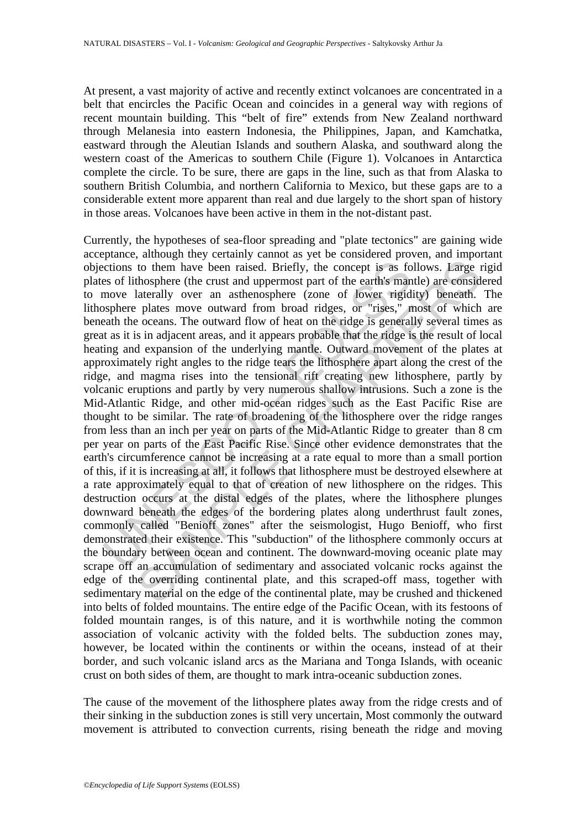At present, a vast majority of active and recently extinct volcanoes are concentrated in a belt that encircles the Pacific Ocean and coincides in a general way with regions of recent mountain building. This "belt of fire" extends from New Zealand northward through Melanesia into eastern Indonesia, the Philippines, Japan, and Kamchatka, eastward through the Aleutian Islands and southern Alaska, and southward along the western coast of the Americas to southern Chile (Figure 1). Volcanoes in Antarctica complete the circle. To be sure, there are gaps in the line, such as that from Alaska to southern British Columbia, and northern California to Mexico, but these gaps are to a considerable extent more apparent than real and due largely to the short span of history in those areas. Volcanoes have been active in them in the not-distant past.

critions to them have been raised. Briefly, the concept is as fo<br>es of lithosphere (the crust and uppermost part of the earth's man<br>move laterally over an asthenosphere (zone of lower rigid<br>sphere plates move outward from to them have been raised. Briefly, the concept is as follows. Large is to them have been raised. Briefly, the concept is as follows. Large inhosphere (the crust and uppermost part of the earth's mantle) are considered hy o Currently, the hypotheses of sea-floor spreading and "plate tectonics" are gaining wide acceptance, although they certainly cannot as yet be considered proven, and important objections to them have been raised. Briefly, the concept is as follows. Large rigid plates of lithosphere (the crust and uppermost part of the earth's mantle) are considered to move laterally over an asthenosphere (zone of lower rigidity) beneath. The lithosphere plates move outward from broad ridges, or "rises," most of which are beneath the oceans. The outward flow of heat on the ridge is generally several times as great as it is in adjacent areas, and it appears probable that the ridge is the result of local heating and expansion of the underlying mantle. Outward movement of the plates at approximately right angles to the ridge tears the lithosphere apart along the crest of the ridge, and magma rises into the tensional rift creating new lithosphere, partly by volcanic eruptions and partly by very numerous shallow intrusions. Such a zone is the Mid-Atlantic Ridge, and other mid-ocean ridges such as the East Pacific Rise are thought to be similar. The rate of broadening of the lithosphere over the ridge ranges from less than an inch per year on parts of the Mid-Atlantic Ridge to greater than 8 cm per year on parts of the East Pacific Rise. Since other evidence demonstrates that the earth's circumference cannot be increasing at a rate equal to more than a small portion of this, if it is increasing at all, it follows that lithosphere must be destroyed elsewhere at a rate approximately equal to that of creation of new lithosphere on the ridges. This destruction occurs at the distal edges of the plates, where the lithosphere plunges downward beneath the edges of the bordering plates along underthrust fault zones, commonly called "Benioff zones" after the seismologist, Hugo Benioff, who first demonstrated their existence. This "subduction" of the lithosphere commonly occurs at the boundary between ocean and continent. The downward-moving oceanic plate may scrape off an accumulation of sedimentary and associated volcanic rocks against the edge of the overriding continental plate, and this scraped-off mass, together with sedimentary material on the edge of the continental plate, may be crushed and thickened into belts of folded mountains. The entire edge of the Pacific Ocean, with its festoons of folded mountain ranges, is of this nature, and it is worthwhile noting the common association of volcanic activity with the folded belts. The subduction zones may, however, be located within the continents or within the oceans, instead of at their border, and such volcanic island arcs as the Mariana and Tonga Islands, with oceanic crust on both sides of them, are thought to mark intra-oceanic subduction zones.

The cause of the movement of the lithosphere plates away from the ridge crests and of their sinking in the subduction zones is still very uncertain, Most commonly the outward movement is attributed to convection currents, rising beneath the ridge and moving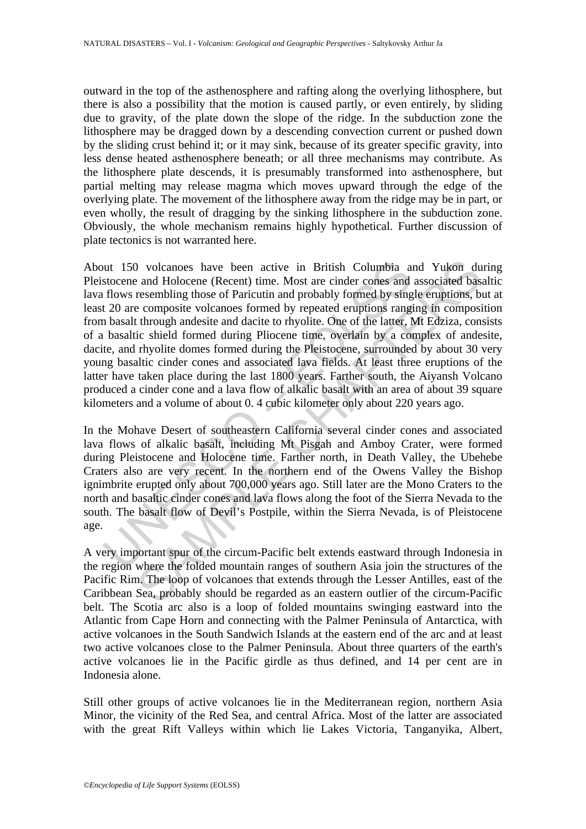outward in the top of the asthenosphere and rafting along the overlying lithosphere, but there is also a possibility that the motion is caused partly, or even entirely, by sliding due to gravity, of the plate down the slope of the ridge. In the subduction zone the lithosphere may be dragged down by a descending convection current or pushed down by the sliding crust behind it; or it may sink, because of its greater specific gravity, into less dense heated asthenosphere beneath; or all three mechanisms may contribute. As the lithosphere plate descends, it is presumably transformed into asthenosphere, but partial melting may release magma which moves upward through the edge of the overlying plate. The movement of the lithosphere away from the ridge may be in part, or even wholly, the result of dragging by the sinking lithosphere in the subduction zone. Obviously, the whole mechanism remains highly hypothetical. Further discussion of plate tectonics is not warranted here.

ut 150 volcanoes have been active in British Columbia a<br>stocene and Holocene (Recent) time. Most are cinder cones and<br>flows resembling those of Paricutin and probably formed by sing<br>120 are composite volcanoes formed by re ) volcanoes have been active in British Columbia and Yukon du<br>
20 and Holocene (Recent) time. Most are cinder cones and associated bases<br>
resembling those of Paricutin and probably formed by single eruptions, b<br>
20 ecompos About 150 volcanoes have been active in British Columbia and Yukon during Pleistocene and Holocene (Recent) time. Most are cinder cones and associated basaltic lava flows resembling those of Paricutin and probably formed by single eruptions, but at least 20 are composite volcanoes formed by repeated eruptions ranging in composition from basalt through andesite and dacite to rhyolite. One of the latter, Mt Edziza, consists of a basaltic shield formed during Pliocene time, overlain by a complex of andesite, dacite, and rhyolite domes formed during the Pleistocene, surrounded by about 30 very young basaltic cinder cones and associated lava fields. At least three eruptions of the latter have taken place during the last 1800 years. Farther south, the Aiyansh Volcano produced a cinder cone and a lava flow of alkalic basalt with an area of about 39 square kilometers and a volume of about 0. 4 cubic kilometer only about 220 years ago.

In the Mohave Desert of southeastern California several cinder cones and associated lava flows of alkalic basalt, including Mt Pisgah and Amboy Crater, were formed during Pleistocene and Holocene time. Farther north, in Death Valley, the Ubehebe Craters also are very recent. In the northern end of the Owens Valley the Bishop ignimbrite erupted only about 700,000 years ago. Still later are the Mono Craters to the north and basaltic cinder cones and lava flows along the foot of the Sierra Nevada to the south. The basalt flow of Devil's Postpile, within the Sierra Nevada, is of Pleistocene age. A very important spur of the circum-Pacific belt extends eastward through Indonesia in

the region where the folded mountain ranges of southern Asia join the structures of the Pacific Rim. The loop of volcanoes that extends through the Lesser Antilles, east of the Caribbean Sea, probably should be regarded as an eastern outlier of the circum-Pacific belt. The Scotia arc also is a loop of folded mountains swinging eastward into the Atlantic from Cape Horn and connecting with the Palmer Peninsula of Antarctica, with active volcanoes in the South Sandwich Islands at the eastern end of the arc and at least two active volcanoes close to the Palmer Peninsula. About three quarters of the earth's active volcanoes lie in the Pacific girdle as thus defined, and 14 per cent are in Indonesia alone.

Still other groups of active volcanoes lie in the Mediterranean region, northern Asia Minor, the vicinity of the Red Sea, and central Africa. Most of the latter are associated with the great Rift Valleys within which lie Lakes Victoria, Tanganyika, Albert,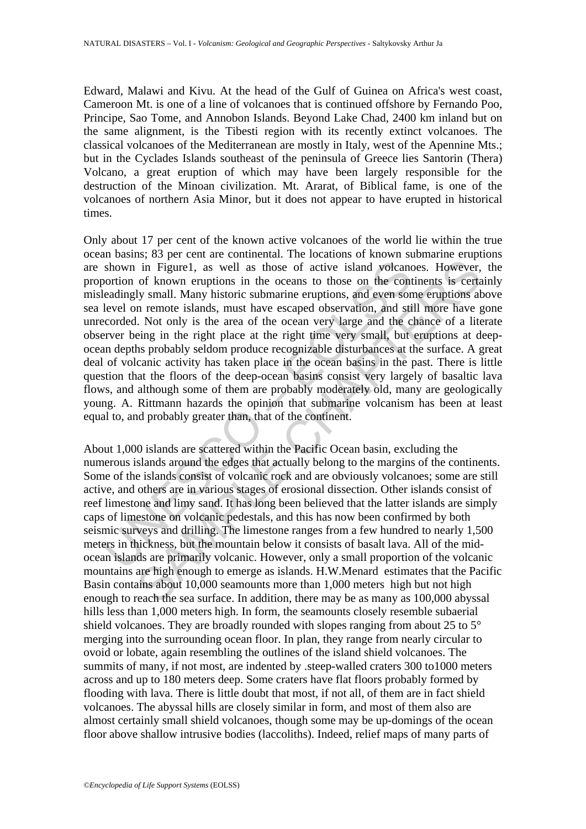Edward, Malawi and Kivu. At the head of the Gulf of Guinea on Africa's west coast, Cameroon Mt. is one of a line of volcanoes that is continued offshore by Fernando Poo, Principe, Sao Tome, and Annobon Islands. Beyond Lake Chad, 2400 km inland but on the same alignment, is the Tibesti region with its recently extinct volcanoes. The classical volcanoes of the Mediterranean are mostly in Italy, west of the Apennine Mts.; but in the Cyclades Islands southeast of the peninsula of Greece lies Santorin (Thera) Volcano, a great eruption of which may have been largely responsible for the destruction of the Minoan civilization. Mt. Ararat, of Biblical fame, is one of the volcanoes of northern Asia Minor, but it does not appear to have erupted in historical times.

shown in Figure1, as well as those of active island volcano<br>orotion of known eruptions in the oceans to those on the cont<br>eadingly small. Many historic submarine eruptions, and even sor<br>level on remote islands, must have e in Figure1, as well as those of active island volcanoes. However,<br>of known eruptions in the oceans to those on the continents is cert<br>of known eruptions in the oceans to those on the continents is cert<br>of known eruptions Only about 17 per cent of the known active volcanoes of the world lie within the true ocean basins; 83 per cent are continental. The locations of known submarine eruptions are shown in Figure1, as well as those of active island volcanoes. However, the proportion of known eruptions in the oceans to those on the continents is certainly misleadingly small. Many historic submarine eruptions, and even some eruptions above sea level on remote islands, must have escaped observation, and still more have gone unrecorded. Not only is the area of the ocean very large and the chance of a literate observer being in the right place at the right time very small, but eruptions at deepocean depths probably seldom produce recognizable disturbances at the surface. A great deal of volcanic activity has taken place in the ocean basins in the past. There is little question that the floors of the deep-ocean basins consist very largely of basaltic lava flows, and although some of them are probably moderately old, many are geologically young. A. Rittmann hazards the opinion that submarine volcanism has been at least equal to, and probably greater than, that of the continent.

About 1,000 islands are scattered within the Pacific Ocean basin, excluding the numerous islands around the edges that actually belong to the margins of the continents. Some of the islands consist of volcanic rock and are obviously volcanoes; some are still active, and others are in various stages of erosional dissection. Other islands consist of reef limestone and limy sand. It has long been believed that the latter islands are simply caps of limestone on volcanic pedestals, and this has now been confirmed by both seismic surveys and drilling. The limestone ranges from a few hundred to nearly 1,500 meters in thickness, but the mountain below it consists of basalt lava. All of the midocean islands are primarily volcanic. However, only a small proportion of the volcanic mountains are high enough to emerge as islands. H.W.Menard estimates that the Pacific Basin contains about 10,000 seamounts more than 1,000 meters high but not high enough to reach the sea surface. In addition, there may be as many as 100,000 abyssal hills less than 1,000 meters high. In form, the seamounts closely resemble subaerial shield volcanoes. They are broadly rounded with slopes ranging from about 25 to 5° merging into the surrounding ocean floor. In plan, they range from nearly circular to ovoid or lobate, again resembling the outlines of the island shield volcanoes. The summits of many, if not most, are indented by .steep-walled craters 300 to1000 meters across and up to 180 meters deep. Some craters have flat floors probably formed by flooding with lava. There is little doubt that most, if not all, of them are in fact shield volcanoes. The abyssal hills are closely similar in form, and most of them also are almost certainly small shield volcanoes, though some may be up-domings of the ocean floor above shallow intrusive bodies (laccoliths). Indeed, relief maps of many parts of